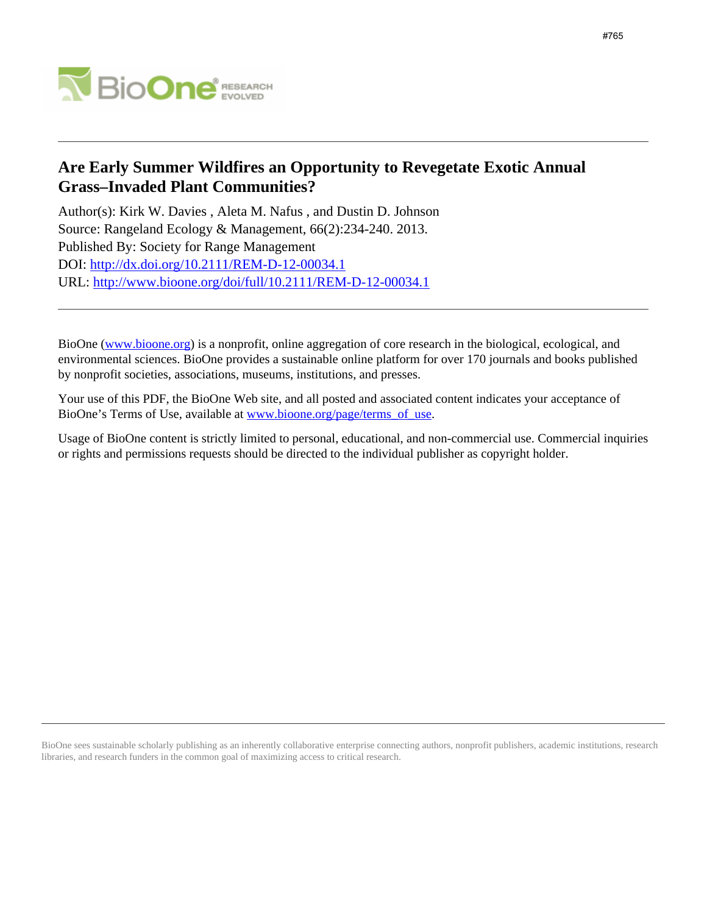

# **Are Early Summer Wildfires an Opportunity to Revegetate Exotic Annual Grass–Invaded Plant Communities?**

Author(s): Kirk W. Davies , Aleta M. Nafus , and Dustin D. Johnson Source: Rangeland Ecology & Management, 66(2):234-240. 2013. Published By: Society for Range Management DOI:<http://dx.doi.org/10.2111/REM-D-12-00034.1> URL: <http://www.bioone.org/doi/full/10.2111/REM-D-12-00034.1>

BioOne [\(www.bioone.org\)](http://www.bioone.org) is a nonprofit, online aggregation of core research in the biological, ecological, and environmental sciences. BioOne provides a sustainable online platform for over 170 journals and books published by nonprofit societies, associations, museums, institutions, and presses.

Your use of this PDF, the BioOne Web site, and all posted and associated content indicates your acceptance of BioOne's Terms of Use, available at [www.bioone.org/page/terms\\_of\\_use.](http://www.bioone.org/page/terms_of_use)

Usage of BioOne content is strictly limited to personal, educational, and non-commercial use. Commercial inquiries or rights and permissions requests should be directed to the individual publisher as copyright holder.

BioOne sees sustainable scholarly publishing as an inherently collaborative enterprise connecting authors, nonprofit publishers, academic institutions, research libraries, and research funders in the common goal of maximizing access to critical research.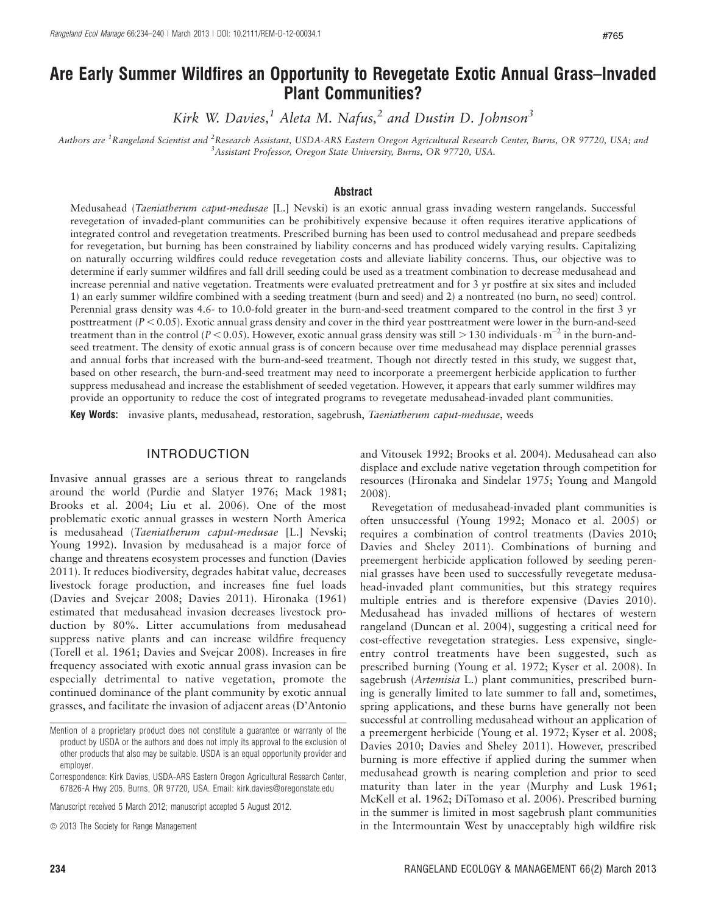# Are Early Summer Wildfires an Opportunity to Revegetate Exotic Annual Grass–Invaded Plant Communities?

Kirk W. Davies,<sup>1</sup> Aleta M. Nafus,<sup>2</sup> and Dustin D. Johnson<sup>3</sup>

Authors are <sup>1</sup>Rangeland Scientist and <sup>2</sup>Research Assistant, USDA-ARS Eastern Oregon Agricultural Research Center, Burns, OR 97720, USA; and <sup>3</sup> Assistant Professor, Oregon State University, Burns, OR 97720, USA.

#### Abstract

Medusahead (Taeniatherum caput-medusae [L.] Nevski) is an exotic annual grass invading western rangelands. Successful revegetation of invaded-plant communities can be prohibitively expensive because it often requires iterative applications of integrated control and revegetation treatments. Prescribed burning has been used to control medusahead and prepare seedbeds for revegetation, but burning has been constrained by liability concerns and has produced widely varying results. Capitalizing on naturally occurring wildfires could reduce revegetation costs and alleviate liability concerns. Thus, our objective was to determine if early summer wildfires and fall drill seeding could be used as a treatment combination to decrease medusahead and increase perennial and native vegetation. Treatments were evaluated pretreatment and for 3 yr postfire at six sites and included 1) an early summer wildfire combined with a seeding treatment (burn and seed) and 2) a nontreated (no burn, no seed) control. Perennial grass density was 4.6- to 10.0-fold greater in the burn-and-seed treatment compared to the control in the first 3 yr posttreatment ( $P < 0.05$ ). Exotic annual grass density and cover in the third year posttreatment were lower in the burn-and-seed treatment than in the control ( $P < 0.05$ ). However, exotic annual grass density was still  $> 130$  individuals $\cdot$  m<sup>-2</sup> in the burn-andseed treatment. The density of exotic annual grass is of concern because over time medusahead may displace perennial grasses and annual forbs that increased with the burn-and-seed treatment. Though not directly tested in this study, we suggest that, based on other research, the burn-and-seed treatment may need to incorporate a preemergent herbicide application to further suppress medusahead and increase the establishment of seeded vegetation. However, it appears that early summer wildfires may provide an opportunity to reduce the cost of integrated programs to revegetate medusahead-invaded plant communities.

Key Words: invasive plants, medusahead, restoration, sagebrush, Taeniatherum caput-medusae, weeds

#### INTRODUCTION

Invasive annual grasses are a serious threat to rangelands around the world (Purdie and Slatyer 1976; Mack 1981; Brooks et al. 2004; Liu et al. 2006). One of the most problematic exotic annual grasses in western North America is medusahead (Taeniatherum caput-medusae [L.] Nevski; Young 1992). Invasion by medusahead is a major force of change and threatens ecosystem processes and function (Davies 2011). It reduces biodiversity, degrades habitat value, decreases livestock forage production, and increases fine fuel loads (Davies and Svejcar 2008; Davies 2011). Hironaka (1961) estimated that medusahead invasion decreases livestock production by 80%. Litter accumulations from medusahead suppress native plants and can increase wildfire frequency (Torell et al. 1961; Davies and Svejcar 2008). Increases in fire frequency associated with exotic annual grass invasion can be especially detrimental to native vegetation, promote the continued dominance of the plant community by exotic annual grasses, and facilitate the invasion of adjacent areas (D'Antonio

Manuscript received 5 March 2012; manuscript accepted 5 August 2012.

and Vitousek 1992; Brooks et al. 2004). Medusahead can also displace and exclude native vegetation through competition for resources (Hironaka and Sindelar 1975; Young and Mangold 2008).

Revegetation of medusahead-invaded plant communities is often unsuccessful (Young 1992; Monaco et al. 2005) or requires a combination of control treatments (Davies 2010; Davies and Sheley 2011). Combinations of burning and preemergent herbicide application followed by seeding perennial grasses have been used to successfully revegetate medusahead-invaded plant communities, but this strategy requires multiple entries and is therefore expensive (Davies 2010). Medusahead has invaded millions of hectares of western rangeland (Duncan et al. 2004), suggesting a critical need for cost-effective revegetation strategies. Less expensive, singleentry control treatments have been suggested, such as prescribed burning (Young et al. 1972; Kyser et al. 2008). In sagebrush (Artemisia L.) plant communities, prescribed burning is generally limited to late summer to fall and, sometimes, spring applications, and these burns have generally not been successful at controlling medusahead without an application of a preemergent herbicide (Young et al. 1972; Kyser et al. 2008; Davies 2010; Davies and Sheley 2011). However, prescribed burning is more effective if applied during the summer when medusahead growth is nearing completion and prior to seed maturity than later in the year (Murphy and Lusk 1961; McKell et al. 1962; DiTomaso et al. 2006). Prescribed burning in the summer is limited in most sagebrush plant communities in the Intermountain West by unacceptably high wildfire risk

Mention of a proprietary product does not constitute a guarantee or warranty of the product by USDA or the authors and does not imply its approval to the exclusion of other products that also may be suitable. USDA is an equal opportunity provider and employer.

Correspondence: Kirk Davies, USDA-ARS Eastern Oregon Agricultural Research Center, 67826-A Hwy 205, Burns, OR 97720, USA. Email: kirk.davies@oregonstate.edu

 $\odot$  2013 The Society for Range Management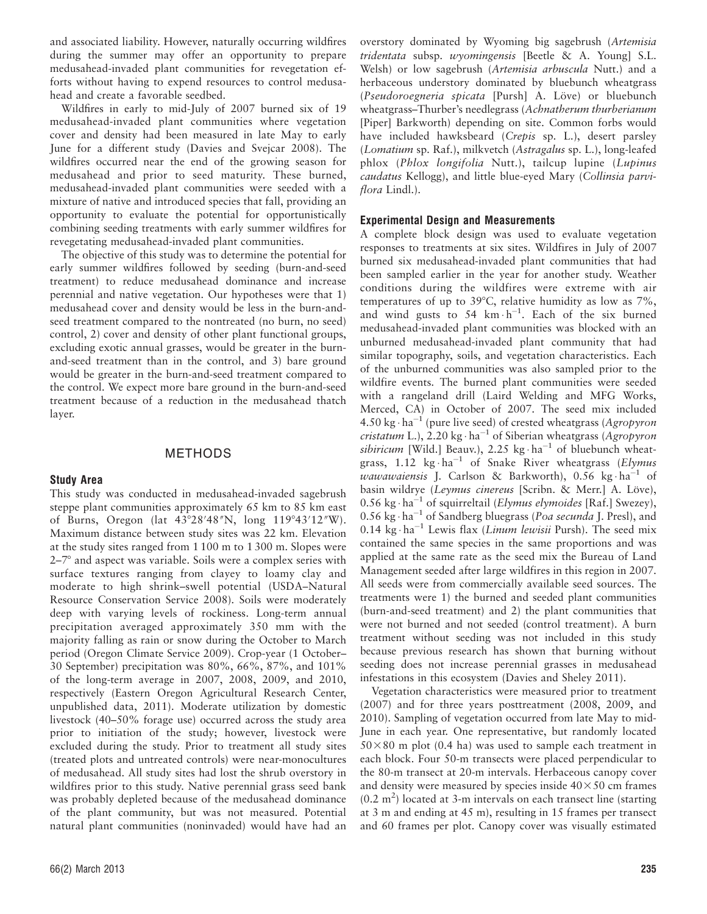and associated liability. However, naturally occurring wildfires during the summer may offer an opportunity to prepare medusahead-invaded plant communities for revegetation efforts without having to expend resources to control medusahead and create a favorable seedbed.

Wildfires in early to mid-July of 2007 burned six of 19 medusahead-invaded plant communities where vegetation cover and density had been measured in late May to early June for a different study (Davies and Svejcar 2008). The wildfires occurred near the end of the growing season for medusahead and prior to seed maturity. These burned, medusahead-invaded plant communities were seeded with a mixture of native and introduced species that fall, providing an opportunity to evaluate the potential for opportunistically combining seeding treatments with early summer wildfires for revegetating medusahead-invaded plant communities.

The objective of this study was to determine the potential for early summer wildfires followed by seeding (burn-and-seed treatment) to reduce medusahead dominance and increase perennial and native vegetation. Our hypotheses were that 1) medusahead cover and density would be less in the burn-andseed treatment compared to the nontreated (no burn, no seed) control, 2) cover and density of other plant functional groups, excluding exotic annual grasses, would be greater in the burnand-seed treatment than in the control, and 3) bare ground would be greater in the burn-and-seed treatment compared to the control. We expect more bare ground in the burn-and-seed treatment because of a reduction in the medusahead thatch layer.

#### METHODS

#### Study Area

This study was conducted in medusahead-invaded sagebrush steppe plant communities approximately 65 km to 85 km east of Burns, Oregon (lat 43°28'48"N, long 119°43'12"W). Maximum distance between study sites was 22 km. Elevation at the study sites ranged from 1 100 m to 1 300 m. Slopes were  $2-7^{\circ}$  and aspect was variable. Soils were a complex series with surface textures ranging from clayey to loamy clay and moderate to high shrink–swell potential (USDA–Natural Resource Conservation Service 2008). Soils were moderately deep with varying levels of rockiness. Long-term annual precipitation averaged approximately 350 mm with the majority falling as rain or snow during the October to March period (Oregon Climate Service 2009). Crop-year (1 October– 30 September) precipitation was 80%, 66%, 87%, and 101% of the long-term average in 2007, 2008, 2009, and 2010, respectively (Eastern Oregon Agricultural Research Center, unpublished data, 2011). Moderate utilization by domestic livestock (40–50% forage use) occurred across the study area prior to initiation of the study; however, livestock were excluded during the study. Prior to treatment all study sites (treated plots and untreated controls) were near-monocultures of medusahead. All study sites had lost the shrub overstory in wildfires prior to this study. Native perennial grass seed bank was probably depleted because of the medusahead dominance of the plant community, but was not measured. Potential natural plant communities (noninvaded) would have had an

overstory dominated by Wyoming big sagebrush (Artemisia tridentata subsp. wyomingensis [Beetle & A. Young] S.L. Welsh) or low sagebrush (Artemisia arbuscula Nutt.) and a herbaceous understory dominated by bluebunch wheatgrass (Pseudoroegneria spicata [Pursh] A. Löve) or bluebunch wheatgrass–Thurber's needlegrass (Achnatherum thurberianum [Piper] Barkworth) depending on site. Common forbs would have included hawksbeard (Crepis sp. L.), desert parsley (Lomatium sp. Raf.), milkvetch (Astragalus sp. L.), long-leafed phlox (Phlox longifolia Nutt.), tailcup lupine (Lupinus caudatus Kellogg), and little blue-eyed Mary (Collinsia parviflora Lindl.).

#### Experimental Design and Measurements

A complete block design was used to evaluate vegetation responses to treatments at six sites. Wildfires in July of 2007 burned six medusahead-invaded plant communities that had been sampled earlier in the year for another study. Weather conditions during the wildfires were extreme with air temperatures of up to 39 $^{\circ}$ C, relative humidity as low as 7%, and wind gusts to 54  $km \cdot h^{-1}$ . Each of the six burned medusahead-invaded plant communities was blocked with an unburned medusahead-invaded plant community that had similar topography, soils, and vegetation characteristics. Each of the unburned communities was also sampled prior to the wildfire events. The burned plant communities were seeded with a rangeland drill (Laird Welding and MFG Works, Merced, CA) in October of 2007. The seed mix included 4.50 kg $\cdot$  ha<sup>-1</sup> (pure live seed) of crested wheatgrass (Agropyron cristatum L.), 2.20 kg $\cdot$ ha<sup>-1</sup> of Siberian wheatgrass (Agropyron sibiricum [Wild.] Beauv.), 2.25  $kg \cdot ha^{-1}$  of bluebunch wheatgrass, 1.12  $\text{kg} \cdot \text{ha}^{-1}$  of Snake River wheatgrass (Elymus wawawaiensis J. Carlson & Barkworth), 0.56 kg·ha<sup>-1</sup> of basin wildrye (Leymus cinereus [Scribn. & Merr.] A. Löve),  $0.56 \text{ kg} \cdot \text{ha}^{-1}$  of squirreltail (Elymus elymoides [Raf.] Swezey), 0.56 kg · ha<sup>-1</sup> of Sandberg bluegrass (Poa secunda J. Presl), and 0.14  $\text{kg} \cdot \text{ha}^{-1}$  Lewis flax (*Linum lewisii* Pursh). The seed mix contained the same species in the same proportions and was applied at the same rate as the seed mix the Bureau of Land Management seeded after large wildfires in this region in 2007. All seeds were from commercially available seed sources. The treatments were 1) the burned and seeded plant communities (burn-and-seed treatment) and 2) the plant communities that were not burned and not seeded (control treatment). A burn treatment without seeding was not included in this study because previous research has shown that burning without seeding does not increase perennial grasses in medusahead infestations in this ecosystem (Davies and Sheley 2011).

Vegetation characteristics were measured prior to treatment (2007) and for three years posttreatment (2008, 2009, and 2010). Sampling of vegetation occurred from late May to mid-June in each year. One representative, but randomly located  $50\times80$  m plot (0.4 ha) was used to sample each treatment in each block. Four 50-m transects were placed perpendicular to the 80-m transect at 20-m intervals. Herbaceous canopy cover and density were measured by species inside  $40\times50$  cm frames  $(0.2 \text{ m}^2)$  located at 3-m intervals on each transect line (starting at 3 m and ending at 45 m), resulting in 15 frames per transect and 60 frames per plot. Canopy cover was visually estimated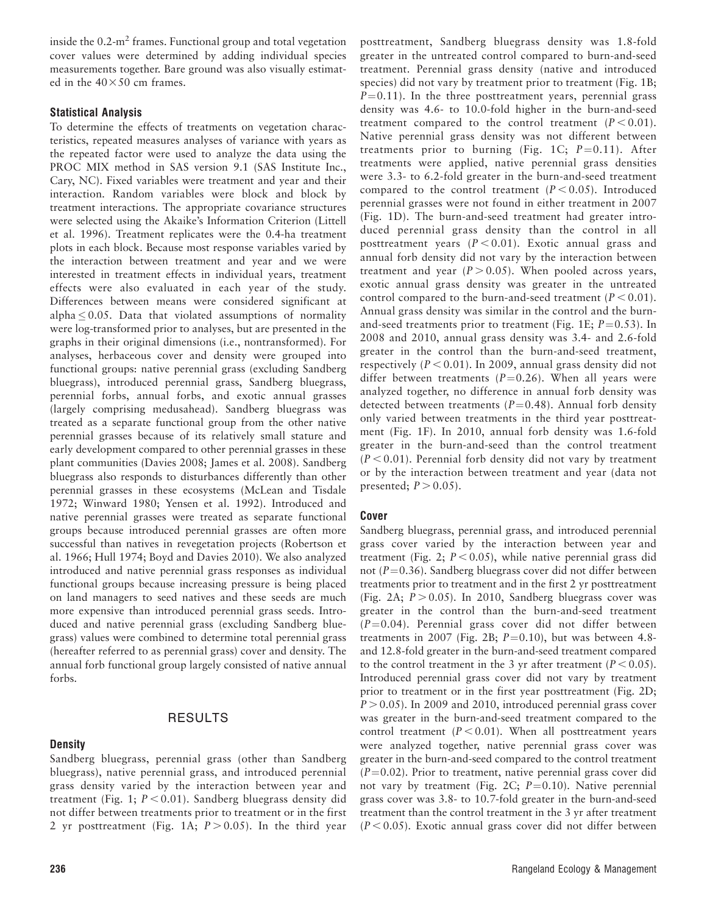inside the  $0.2\text{-m}^2$  frames. Functional group and total vegetation cover values were determined by adding individual species measurements together. Bare ground was also visually estimated in the  $40\times50$  cm frames.

### Statistical Analysis

To determine the effects of treatments on vegetation characteristics, repeated measures analyses of variance with years as the repeated factor were used to analyze the data using the PROC MIX method in SAS version 9.1 (SAS Institute Inc., Cary, NC). Fixed variables were treatment and year and their interaction. Random variables were block and block by treatment interactions. The appropriate covariance structures were selected using the Akaike's Information Criterion (Littell et al. 1996). Treatment replicates were the 0.4-ha treatment plots in each block. Because most response variables varied by the interaction between treatment and year and we were interested in treatment effects in individual years, treatment effects were also evaluated in each year of the study. Differences between means were considered significant at alpha  $\leq 0.05$ . Data that violated assumptions of normality were log-transformed prior to analyses, but are presented in the graphs in their original dimensions (i.e., nontransformed). For analyses, herbaceous cover and density were grouped into functional groups: native perennial grass (excluding Sandberg bluegrass), introduced perennial grass, Sandberg bluegrass, perennial forbs, annual forbs, and exotic annual grasses (largely comprising medusahead). Sandberg bluegrass was treated as a separate functional group from the other native perennial grasses because of its relatively small stature and early development compared to other perennial grasses in these plant communities (Davies 2008; James et al. 2008). Sandberg bluegrass also responds to disturbances differently than other perennial grasses in these ecosystems (McLean and Tisdale 1972; Winward 1980; Yensen et al. 1992). Introduced and native perennial grasses were treated as separate functional groups because introduced perennial grasses are often more successful than natives in revegetation projects (Robertson et al. 1966; Hull 1974; Boyd and Davies 2010). We also analyzed introduced and native perennial grass responses as individual functional groups because increasing pressure is being placed on land managers to seed natives and these seeds are much more expensive than introduced perennial grass seeds. Introduced and native perennial grass (excluding Sandberg bluegrass) values were combined to determine total perennial grass (hereafter referred to as perennial grass) cover and density. The annual forb functional group largely consisted of native annual forbs.

## RESULTS

## **Density**

Sandberg bluegrass, perennial grass (other than Sandberg bluegrass), native perennial grass, and introduced perennial grass density varied by the interaction between year and treatment (Fig. 1;  $P < 0.01$ ). Sandberg bluegrass density did not differ between treatments prior to treatment or in the first 2 yr posttreatment (Fig. 1A;  $P > 0.05$ ). In the third year

posttreatment, Sandberg bluegrass density was 1.8-fold greater in the untreated control compared to burn-and-seed treatment. Perennial grass density (native and introduced species) did not vary by treatment prior to treatment (Fig. 1B;  $P=0.11$ ). In the three posttreatment years, perennial grass density was 4.6- to 10.0-fold higher in the burn-and-seed treatment compared to the control treatment  $(P < 0.01)$ . Native perennial grass density was not different between treatments prior to burning (Fig. 1C;  $P=0.11$ ). After treatments were applied, native perennial grass densities were 3.3- to 6.2-fold greater in the burn-and-seed treatment compared to the control treatment  $(P < 0.05)$ . Introduced perennial grasses were not found in either treatment in 2007 (Fig. 1D). The burn-and-seed treatment had greater introduced perennial grass density than the control in all posttreatment years  $(P < 0.01)$ . Exotic annual grass and annual forb density did not vary by the interaction between treatment and year  $(P > 0.05)$ . When pooled across years, exotic annual grass density was greater in the untreated control compared to the burn-and-seed treatment ( $P < 0.01$ ). Annual grass density was similar in the control and the burnand-seed treatments prior to treatment (Fig. 1E;  $P=0.53$ ). In 2008 and 2010, annual grass density was 3.4- and 2.6-fold greater in the control than the burn-and-seed treatment, respectively ( $P < 0.01$ ). In 2009, annual grass density did not differ between treatments ( $P=0.26$ ). When all years were analyzed together, no difference in annual forb density was detected between treatments ( $P=0.48$ ). Annual forb density only varied between treatments in the third year posttreatment (Fig. 1F). In 2010, annual forb density was 1.6-fold greater in the burn-and-seed than the control treatment  $(P < 0.01)$ . Perennial forb density did not vary by treatment or by the interaction between treatment and year (data not presented;  $P > 0.05$ ).

## Cover

Sandberg bluegrass, perennial grass, and introduced perennial grass cover varied by the interaction between year and treatment (Fig. 2;  $P < 0.05$ ), while native perennial grass did not ( $P=0.36$ ). Sandberg bluegrass cover did not differ between treatments prior to treatment and in the first 2 yr posttreatment (Fig. 2A;  $P > 0.05$ ). In 2010, Sandberg bluegrass cover was greater in the control than the burn-and-seed treatment  $(P=0.04)$ . Perennial grass cover did not differ between treatments in 2007 (Fig. 2B;  $P=0.10$ ), but was between 4.8and 12.8-fold greater in the burn-and-seed treatment compared to the control treatment in the 3 yr after treatment ( $P < 0.05$ ). Introduced perennial grass cover did not vary by treatment prior to treatment or in the first year posttreatment (Fig. 2D;  $P > 0.05$ ). In 2009 and 2010, introduced perennial grass cover was greater in the burn-and-seed treatment compared to the control treatment ( $P < 0.01$ ). When all posttreatment years were analyzed together, native perennial grass cover was greater in the burn-and-seed compared to the control treatment  $(P=0.02)$ . Prior to treatment, native perennial grass cover did not vary by treatment (Fig. 2C;  $P=0.10$ ). Native perennial grass cover was 3.8- to 10.7-fold greater in the burn-and-seed treatment than the control treatment in the 3 yr after treatment  $(P < 0.05)$ . Exotic annual grass cover did not differ between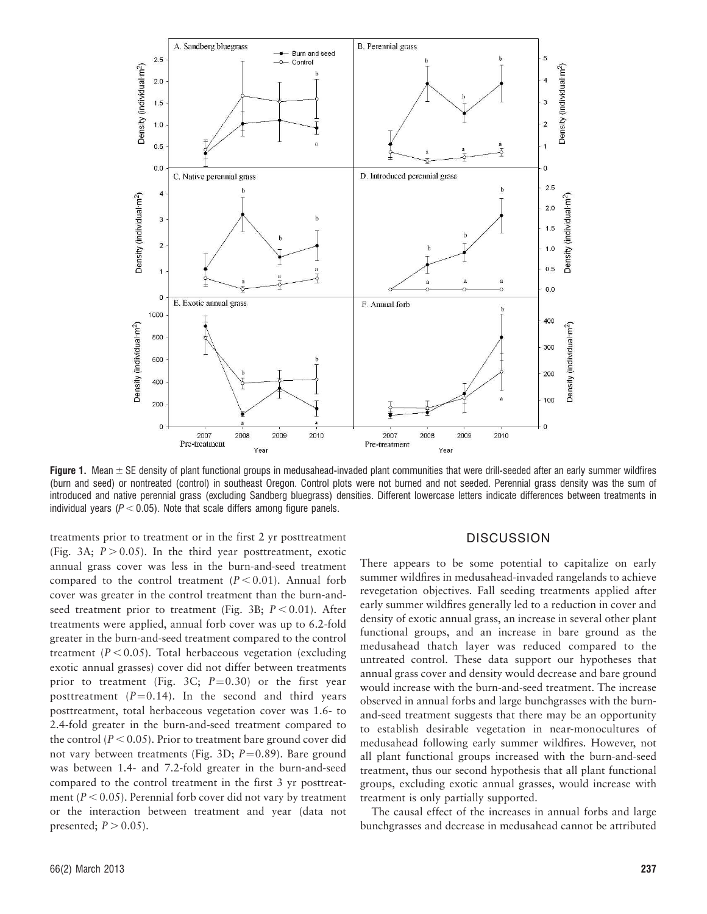

Figure 1. Mean  $\pm$  SE density of plant functional groups in medusahead-invaded plant communities that were drill-seeded after an early summer wildfires (burn and seed) or nontreated (control) in southeast Oregon. Control plots were not burned and not seeded. Perennial grass density was the sum of introduced and native perennial grass (excluding Sandberg bluegrass) densities. Different lowercase letters indicate differences between treatments in individual years ( $P < 0.05$ ). Note that scale differs among figure panels.

treatments prior to treatment or in the first 2 yr posttreatment (Fig. 3A;  $P > 0.05$ ). In the third year posttreatment, exotic annual grass cover was less in the burn-and-seed treatment compared to the control treatment  $(P < 0.01)$ . Annual forb cover was greater in the control treatment than the burn-andseed treatment prior to treatment (Fig. 3B;  $P < 0.01$ ). After treatments were applied, annual forb cover was up to 6.2-fold greater in the burn-and-seed treatment compared to the control treatment  $(P < 0.05)$ . Total herbaceous vegetation (excluding exotic annual grasses) cover did not differ between treatments prior to treatment (Fig. 3C;  $P=0.30$ ) or the first year posttreatment  $(P=0.14)$ . In the second and third years posttreatment, total herbaceous vegetation cover was 1.6- to 2.4-fold greater in the burn-and-seed treatment compared to the control ( $P < 0.05$ ). Prior to treatment bare ground cover did not vary between treatments (Fig. 3D;  $P=0.89$ ). Bare ground was between 1.4- and 7.2-fold greater in the burn-and-seed compared to the control treatment in the first 3 yr posttreatment ( $P < 0.05$ ). Perennial forb cover did not vary by treatment or the interaction between treatment and year (data not presented;  $P > 0.05$ ).

#### **DISCUSSION**

There appears to be some potential to capitalize on early summer wildfires in medusahead-invaded rangelands to achieve revegetation objectives. Fall seeding treatments applied after early summer wildfires generally led to a reduction in cover and density of exotic annual grass, an increase in several other plant functional groups, and an increase in bare ground as the medusahead thatch layer was reduced compared to the untreated control. These data support our hypotheses that annual grass cover and density would decrease and bare ground would increase with the burn-and-seed treatment. The increase observed in annual forbs and large bunchgrasses with the burnand-seed treatment suggests that there may be an opportunity to establish desirable vegetation in near-monocultures of medusahead following early summer wildfires. However, not all plant functional groups increased with the burn-and-seed treatment, thus our second hypothesis that all plant functional groups, excluding exotic annual grasses, would increase with treatment is only partially supported.

The causal effect of the increases in annual forbs and large bunchgrasses and decrease in medusahead cannot be attributed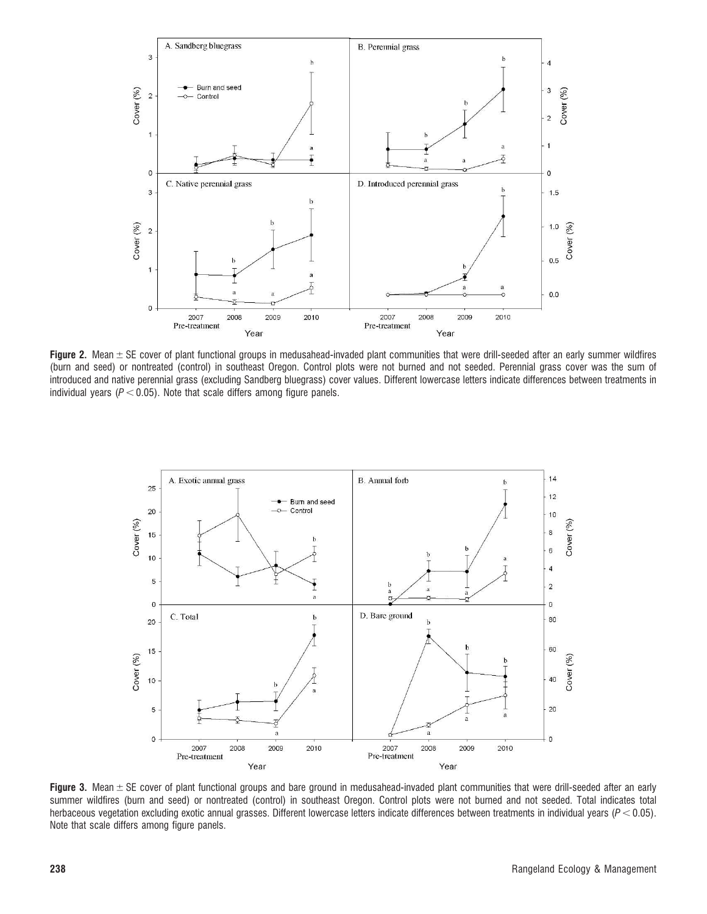

Figure 2. Mean  $\pm$  SE cover of plant functional groups in medusahead-invaded plant communities that were drill-seeded after an early summer wildfires (burn and seed) or nontreated (control) in southeast Oregon. Control plots were not burned and not seeded. Perennial grass cover was the sum of introduced and native perennial grass (excluding Sandberg bluegrass) cover values. Different lowercase letters indicate differences between treatments in individual years ( $P < 0.05$ ). Note that scale differs among figure panels.



Figure 3. Mean  $\pm$  SE cover of plant functional groups and bare ground in medusahead-invaded plant communities that were drill-seeded after an early summer wildfires (burn and seed) or nontreated (control) in southeast Oregon. Control plots were not burned and not seeded. Total indicates total herbaceous vegetation excluding exotic annual grasses. Different lowercase letters indicate differences between treatments in individual years ( $P < 0.05$ ). Note that scale differs among figure panels.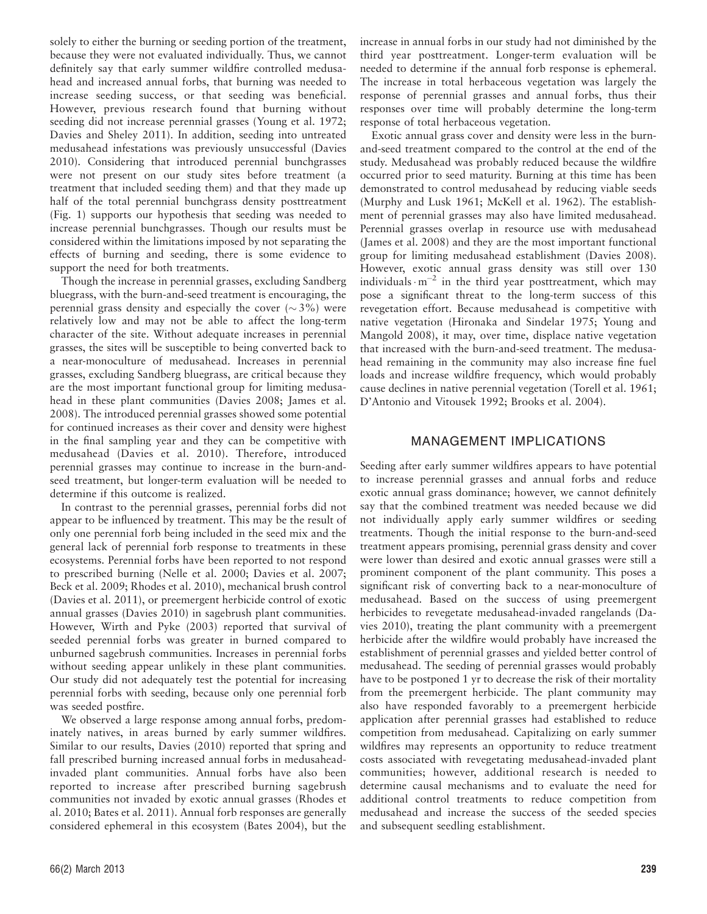solely to either the burning or seeding portion of the treatment, because they were not evaluated individually. Thus, we cannot definitely say that early summer wildfire controlled medusahead and increased annual forbs, that burning was needed to increase seeding success, or that seeding was beneficial. However, previous research found that burning without seeding did not increase perennial grasses (Young et al. 1972; Davies and Sheley 2011). In addition, seeding into untreated medusahead infestations was previously unsuccessful (Davies 2010). Considering that introduced perennial bunchgrasses were not present on our study sites before treatment (a treatment that included seeding them) and that they made up half of the total perennial bunchgrass density posttreatment (Fig. 1) supports our hypothesis that seeding was needed to increase perennial bunchgrasses. Though our results must be considered within the limitations imposed by not separating the effects of burning and seeding, there is some evidence to support the need for both treatments.

Though the increase in perennial grasses, excluding Sandberg bluegrass, with the burn-and-seed treatment is encouraging, the perennial grass density and especially the cover  $({\sim}3\%)$  were relatively low and may not be able to affect the long-term character of the site. Without adequate increases in perennial grasses, the sites will be susceptible to being converted back to a near-monoculture of medusahead. Increases in perennial grasses, excluding Sandberg bluegrass, are critical because they are the most important functional group for limiting medusahead in these plant communities (Davies 2008; James et al. 2008). The introduced perennial grasses showed some potential for continued increases as their cover and density were highest in the final sampling year and they can be competitive with medusahead (Davies et al. 2010). Therefore, introduced perennial grasses may continue to increase in the burn-andseed treatment, but longer-term evaluation will be needed to determine if this outcome is realized.

In contrast to the perennial grasses, perennial forbs did not appear to be influenced by treatment. This may be the result of only one perennial forb being included in the seed mix and the general lack of perennial forb response to treatments in these ecosystems. Perennial forbs have been reported to not respond to prescribed burning (Nelle et al. 2000; Davies et al. 2007; Beck et al. 2009; Rhodes et al. 2010), mechanical brush control (Davies et al. 2011), or preemergent herbicide control of exotic annual grasses (Davies 2010) in sagebrush plant communities. However, Wirth and Pyke (2003) reported that survival of seeded perennial forbs was greater in burned compared to unburned sagebrush communities. Increases in perennial forbs without seeding appear unlikely in these plant communities. Our study did not adequately test the potential for increasing perennial forbs with seeding, because only one perennial forb was seeded postfire.

We observed a large response among annual forbs, predominately natives, in areas burned by early summer wildfires. Similar to our results, Davies (2010) reported that spring and fall prescribed burning increased annual forbs in medusaheadinvaded plant communities. Annual forbs have also been reported to increase after prescribed burning sagebrush communities not invaded by exotic annual grasses (Rhodes et al. 2010; Bates et al. 2011). Annual forb responses are generally considered ephemeral in this ecosystem (Bates 2004), but the increase in annual forbs in our study had not diminished by the third year posttreatment. Longer-term evaluation will be needed to determine if the annual forb response is ephemeral. The increase in total herbaceous vegetation was largely the response of perennial grasses and annual forbs, thus their responses over time will probably determine the long-term response of total herbaceous vegetation.

Exotic annual grass cover and density were less in the burnand-seed treatment compared to the control at the end of the study. Medusahead was probably reduced because the wildfire occurred prior to seed maturity. Burning at this time has been demonstrated to control medusahead by reducing viable seeds (Murphy and Lusk 1961; McKell et al. 1962). The establishment of perennial grasses may also have limited medusahead. Perennial grasses overlap in resource use with medusahead (James et al. 2008) and they are the most important functional group for limiting medusahead establishment (Davies 2008). However, exotic annual grass density was still over 130 individuals  $\cdot$  m<sup>-2</sup> in the third year posttreatment, which may pose a significant threat to the long-term success of this revegetation effort. Because medusahead is competitive with native vegetation (Hironaka and Sindelar 1975; Young and Mangold 2008), it may, over time, displace native vegetation that increased with the burn-and-seed treatment. The medusahead remaining in the community may also increase fine fuel loads and increase wildfire frequency, which would probably cause declines in native perennial vegetation (Torell et al. 1961; D'Antonio and Vitousek 1992; Brooks et al. 2004).

### MANAGEMENT IMPLICATIONS

Seeding after early summer wildfires appears to have potential to increase perennial grasses and annual forbs and reduce exotic annual grass dominance; however, we cannot definitely say that the combined treatment was needed because we did not individually apply early summer wildfires or seeding treatments. Though the initial response to the burn-and-seed treatment appears promising, perennial grass density and cover were lower than desired and exotic annual grasses were still a prominent component of the plant community. This poses a significant risk of converting back to a near-monoculture of medusahead. Based on the success of using preemergent herbicides to revegetate medusahead-invaded rangelands (Davies 2010), treating the plant community with a preemergent herbicide after the wildfire would probably have increased the establishment of perennial grasses and yielded better control of medusahead. The seeding of perennial grasses would probably have to be postponed 1 yr to decrease the risk of their mortality from the preemergent herbicide. The plant community may also have responded favorably to a preemergent herbicide application after perennial grasses had established to reduce competition from medusahead. Capitalizing on early summer wildfires may represents an opportunity to reduce treatment costs associated with revegetating medusahead-invaded plant communities; however, additional research is needed to determine causal mechanisms and to evaluate the need for additional control treatments to reduce competition from medusahead and increase the success of the seeded species and subsequent seedling establishment.